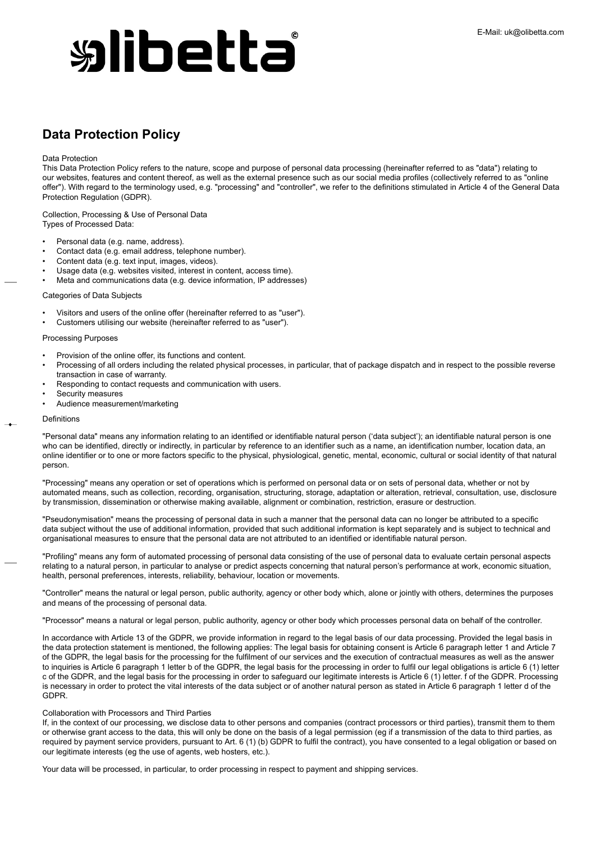### <span id="page-0-0"></span>**Data Protection Policy**

#### Data Protection

This Data Protection Policy refers to the nature, scope and purpose of personal data processing (hereinafter referred to as "data") relating to our websites, features and content thereof, as well as the external presence such as our social media profiles (collectively referred to as "online offer"). With regard to the terminology used, e.g. "processing" and "controller", we refer to the definitions stimulated in Article 4 of the General Data Protection Regulation (GDPR).

Collection, Processing & Use of Personal Data Types of Processed Data:

- Personal data (e.g. name, address).
- Contact data (e.g. email address, telephone number).
- Content data (e.g. text input, images, videos).
- Usage data (e.g. websites visited, interest in content, access time).
- Meta and communications data (e.g. device information, IP addresses)

#### Categories of Data Subjects

- Visitors and users of the online offer (hereinafter referred to as "user").
- Customers utilising our website (hereinafter referred to as "user").

#### Processing Purposes

- Provision of the online offer, its functions and content.
- Processing of all orders including the related physical processes, in particular, that of package dispatch and in respect to the possible reverse transaction in case of warranty.
- Responding to contact requests and communication with users.
- Security measures
- Audience measurement/marketing

#### Definitions

"Personal data" means any information relating to an identified or identifiable natural person ('data subject'); an identifiable natural person is one who can be identified, directly or indirectly, in particular by reference to an identifier such as a name, an identification number, location data, an online identifier or to one or more factors specific to the physical, physiological, genetic, mental, economic, cultural or social identity of that natural person.

"Processing" means any operation or set of operations which is performed on personal data or on sets of personal data, whether or not by automated means, such as collection, recording, organisation, structuring, storage, adaptation or alteration, retrieval, consultation, use, disclosure by transmission, dissemination or otherwise making available, alignment or combination, restriction, erasure or destruction.

"Pseudonymisation" means the processing of personal data in such a manner that the personal data can no longer be attributed to a specific data subject without the use of additional information, provided that such additional information is kept separately and is subject to technical and organisational measures to ensure that the personal data are not attributed to an identified or identifiable natural person.

"Profiling" means any form of automated processing of personal data consisting of the use of personal data to evaluate certain personal aspects relating to a natural person, in particular to analyse or predict aspects concerning that natural person's performance at work, economic situation, health, personal preferences, interests, reliability, behaviour, location or movements.

"Controller" means the natural or legal person, public authority, agency or other body which, alone or jointly with others, determines the purposes and means of the processing of personal data.

"Processor" means a natural or legal person, public authority, agency or other body which processes personal data on behalf of the controller.

In accordance with Article 13 of the GDPR, we provide information in regard to the legal basis of our data processing. Provided the legal basis in the data protection statement is mentioned, the following applies: The legal basis for obtaining consent is Article 6 paragraph letter 1 and Article 7 of the GDPR, the legal basis for the processing for the fulfilment of our services and the execution of contractual measures as well as the answer to inquiries is Article 6 paragraph 1 letter b of the GDPR, the legal basis for the processing in order to fulfil our legal obligations is article 6 (1) letter c of the GDPR, and the legal basis for the processing in order to safeguard our legitimate interests is Article 6 (1) letter. f of the GDPR. Processing is necessary in order to protect the vital interests of the data subject or of another natural person as stated in Article 6 paragraph 1 letter d of the GDPR.

#### Collaboration with Processors and Third Parties

If, in the context of our processing, we disclose data to other persons and companies (contract processors or third parties), transmit them to them or otherwise grant access to the data, this will only be done on the basis of a legal permission (eg if a transmission of the data to third parties, as required by payment service providers, pursuant to Art. 6 (1) (b) GDPR to fulfil the contract), you have consented to a legal obligation or based on our legitimate interests (eg the use of agents, web hosters, etc.).

Your data will be processed, in particular, to order processing in respect to payment and shipping services.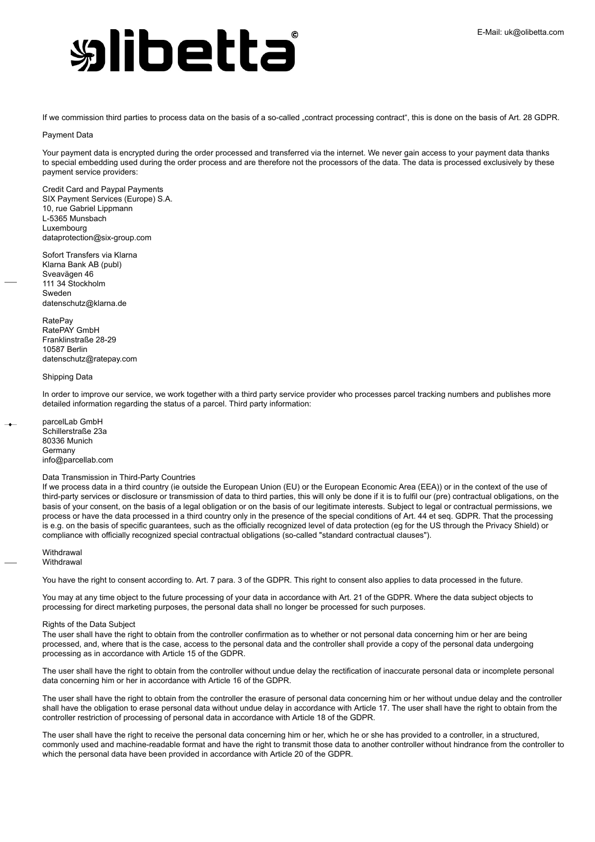If we commission third parties to process data on the basis of a so-called "contract processing contract", this is done on the basis of Art. 28 GDPR.

#### Payment Data

Your payment data is encrypted during the order processed and transferred via the internet. We never gain access to your payment data thanks to special embedding used during the order process and are therefore not the processors of the data. The data is processed exclusively by these payment service providers:

Credit Card and Paypal Payments SIX Payment Services (Europe) S.A. 10, rue Gabriel Lippmann L-5365 Munsbach Luxembourg dataprotection@six-group.com

Sofort Transfers via Klarna Klarna Bank AB (publ) Sveavägen 46 111 34 Stockholm Sweden datenschutz@klarna.de

**RatePay** RatePAY GmbH Franklinstraße 28-29 10587 Berlin datenschutz@ratepay.com

#### Shipping Data

In order to improve our service, we work together with a third party service provider who processes parcel tracking numbers and publishes more detailed information regarding the status of a parcel. Third party information:

parcelLab GmbH Schillerstraße 23a 80336 Munich **Germany** info@parcellab.com

#### Data Transmission in Third-Party Countries

If we process data in a third country (ie outside the European Union (EU) or the European Economic Area (EEA)) or in the context of the use of third-party services or disclosure or transmission of data to third parties, this will only be done if it is to fulfil our (pre) contractual obligations, on the basis of your consent, on the basis of a legal obligation or on the basis of our legitimate interests. Subject to legal or contractual permissions, we process or have the data processed in a third country only in the presence of the special conditions of Art. 44 et seq. GDPR. That the processing is e.g. on the basis of specific guarantees, such as the officially recognized level of data protection (eg for the US through the Privacy Shield) or compliance with officially recognized special contractual obligations (so-called "standard contractual clauses").

**Withdrawal Withdrawal** 

You have the right to consent according to. Art. 7 para. 3 of the GDPR. This right to consent also applies to data processed in the future.

You may at any time object to the future processing of your data in accordance with Art. 21 of the GDPR. Where the data subject objects to processing for direct marketing purposes, the personal data shall no longer be processed for such purposes.

#### Rights of the Data Subject

The user shall have the right to obtain from the controller confirmation as to whether or not personal data concerning him or her are being processed, and, where that is the case, access to the personal data and the controller shall provide a copy of the personal data undergoing processing as in accordance with Article 15 of the GDPR.

The user shall have the right to obtain from the controller without undue delay the rectification of inaccurate personal data or incomplete personal data concerning him or her in accordance with Article 16 of the GDPR.

The user shall have the right to obtain from the controller the erasure of personal data concerning him or her without undue delay and the controller shall have the obligation to erase personal data without undue delay in accordance with Article 17. The user shall have the right to obtain from the controller restriction of processing of personal data in accordance with Article 18 of the GDPR.

The user shall have the right to receive the personal data concerning him or her, which he or she has provided to a controller, in a structured, commonly used and machine-readable format and have the right to transmit those data to another controller without hindrance from the controller to which the personal data have been provided in accordance with Article 20 of the GDPR.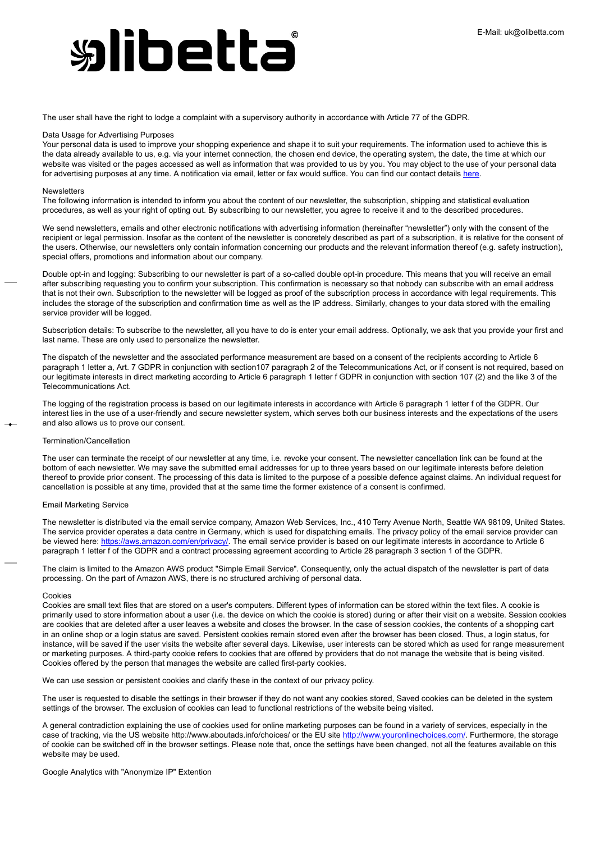The user shall have the right to lodge a complaint with a supervisory authority in accordance with Article 77 of the GDPR.

#### Data Usage for Advertising Purposes

Your personal data is used to improve your shopping experience and shape it to suit your requirements. The information used to achieve this is the data already available to us, e.g. via your internet connection, the chosen end device, the operating system, the date, the time at which our website was visited or the pages accessed as well as information that was provided to us by you. You may object to the use of your personal data for advertising purposes at any time. A notification via email, letter or fax would suffice. You can find our contact details [here](http://https://www.olibetta.de/info/kontakt).

#### Newsletters

The following information is intended to inform you about the content of our newsletter, the subscription, shipping and statistical evaluation procedures, as well as your right of opting out. By subscribing to our newsletter, you agree to receive it and to the described procedures.

We send newsletters, emails and other electronic notifications with advertising information (hereinafter "newsletter") only with the consent of the recipient or legal permission. Insofar as the content of the newsletter is concretely described as part of a subscription, it is relative for the consent of the users. Otherwise, our newsletters only contain information concerning our products and the relevant information thereof (e.g. safety instruction), special offers, promotions and information about our company.

Double opt-in and logging: Subscribing to our newsletter is part of a so-called double opt-in procedure. This means that you will receive an email after subscribing requesting you to confirm your subscription. This confirmation is necessary so that nobody can subscribe with an email address that is not their own. Subscription to the newsletter will be logged as proof of the subscription process in accordance with legal requirements. This includes the storage of the subscription and confirmation time as well as the IP address. Similarly, changes to your data stored with the emailing service provider will be logged.

Subscription details: To subscribe to the newsletter, all you have to do is enter your email address. Optionally, we ask that you provide your first and last name. These are only used to personalize the newsletter.

The dispatch of the newsletter and the associated performance measurement are based on a consent of the recipients according to Article 6 paragraph 1 letter a, Art. 7 GDPR in conjunction with section107 paragraph 2 of the Telecommunications Act, or if consent is not required, based on our legitimate interests in direct marketing according to Article 6 paragraph 1 letter f GDPR in conjunction with section 107 (2) and the like 3 of the Telecommunications Act.

The logging of the registration process is based on our legitimate interests in accordance with Article 6 paragraph 1 letter f of the GDPR. Our interest lies in the use of a user-friendly and secure newsletter system, which serves both our business interests and the expectations of the users and also allows us to prove our consent.

#### Termination/Cancellation

The user can terminate the receipt of our newsletter at any time, i.e. revoke your consent. The newsletter cancellation link can be found at the bottom of each newsletter. We may save the submitted email addresses for up to three years based on our legitimate interests before deletion thereof to provide prior consent. The processing of this data is limited to the purpose of a possible defence against claims. An individual request for cancellation is possible at any time, provided that at the same time the former existence of a consent is confirmed.

#### Email Marketing Service

The newsletter is distributed via the email service company, Amazon Web Services, Inc., 410 Terry Avenue North, Seattle WA 98109, United States. The service provider operates a data centre in Germany, which is used for dispatching emails. The privacy policy of the email service provider can be viewed here: [https://aws.amazon.com/en/privacy/](https://aws.amazon.com/privacy/?nc1=h_ls). The email service provider is based on our legitimate interests in accordance to Article 6 paragraph 1 letter f of the GDPR and a contract processing agreement according to Article 28 paragraph 3 section 1 of the GDPR.

The claim is limited to the Amazon AWS product "Simple Email Service". Consequently, only the actual dispatch of the newsletter is part of data processing. On the part of Amazon AWS, there is no structured archiving of personal data.

#### Cookies

Cookies are small text files that are stored on a user's computers. Different types of information can be stored within the text files. A cookie is primarily used to store information about a user (i.e. the device on which the cookie is stored) during or after their visit on a website. Session cookies are cookies that are deleted after a user leaves a website and closes the browser. In the case of session cookies, the contents of a shopping cart in an online shop or a login status are saved. Persistent cookies remain stored even after the browser has been closed. Thus, a login status, for instance, will be saved if the user visits the website after several days. Likewise, user interests can be stored which as used for range measurement or marketing purposes. A third-party cookie refers to cookies that are offered by providers that do not manage the website that is being visited. Cookies offered by the person that manages the website are called first-party cookies.

We can use session or persistent cookies and clarify these in the context of our privacy policy.

The user is requested to disable the settings in their browser if they do not want any cookies stored, Saved cookies can be deleted in the system settings of the browser. The exclusion of cookies can lead to functional restrictions of the website being visited.

A general contradiction explaining the use of cookies used for online marketing purposes can be found in a variety of services, especially in the case of tracking, via the US website http://www.aboutads.info/choices/ or the EU site [http://www.youronlinechoices.com/](https://www.youronlinechoices.com/). Furthermore, the storage of cookie can be switched off in the browser settings. Please note that, once the settings have been changed, not all the features available on this website may be used.

Google Analytics with "Anonymize IP" Extention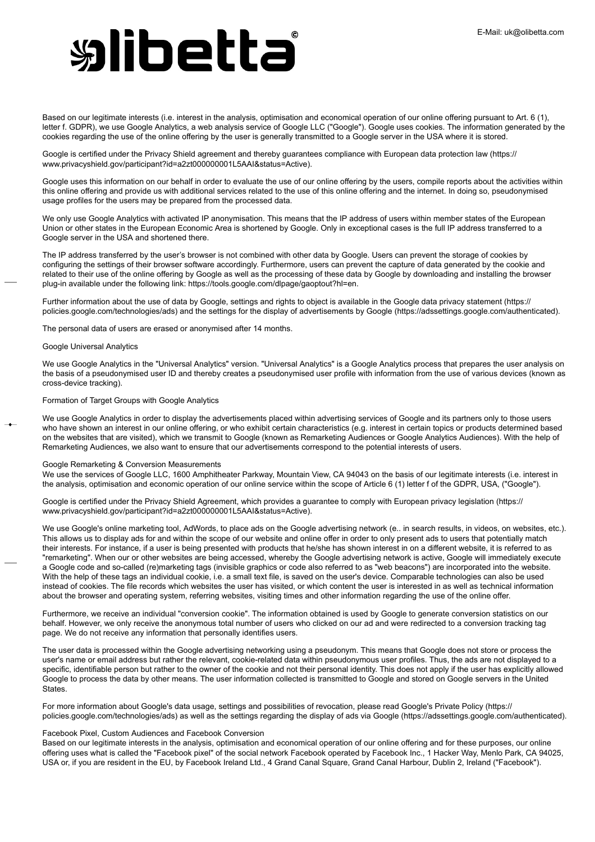Based on our legitimate interests (i.e. interest in the analysis, optimisation and economical operation of our online offering pursuant to Art. 6 (1), letter f. GDPR), we use Google Analytics, a web analysis service of Google LLC ("Google"). Google uses cookies. The information generated by the cookies regarding the use of the online offering by the user is generally transmitted to a Google server in the USA where it is stored.

Google is certified under the Privacy Shield agreement and thereby guarantees compliance with European data protection law (https:// www.privacyshield.gov/participant?id=a2zt000000001L5AAI&status=Active).

Google uses this information on our behalf in order to evaluate the use of our online offering by the users, compile reports about the activities within this online offering and provide us with additional services related to the use of this online offering and the internet. In doing so, pseudonymised usage profiles for the users may be prepared from the processed data.

We only use Google Analytics with activated IP anonymisation. This means that the IP address of users within member states of the European Union or other states in the European Economic Area is shortened by Google. Only in exceptional cases is the full IP address transferred to a Google server in the USA and shortened there.

The IP address transferred by the user's browser is not combined with other data by Google. Users can prevent the storage of cookies by configuring the settings of their browser software accordingly. Furthermore, users can prevent the capture of data generated by the cookie and related to their use of the online offering by Google as well as the processing of these data by Google by downloading and installing the browser plug-in available under the following link: https://tools.google.com/dlpage/gaoptout?hl=en.

Further information about the use of data by Google, settings and rights to object is available in the Google data privacy statement (https:// policies.google.com/technologies/ads) and the settings for the display of advertisements by Google (https://adssettings.google.com/authenticated).

The personal data of users are erased or anonymised after 14 months.

#### Google Universal Analytics

We use Google Analytics in the "Universal Analytics" version. "Universal Analytics" is a Google Analytics process that prepares the user analysis on the basis of a pseudonymised user ID and thereby creates a pseudonymised user profile with information from the use of various devices (known as cross-device tracking).

#### Formation of Target Groups with Google Analytics

We use Google Analytics in order to display the advertisements placed within advertising services of Google and its partners only to those users who have shown an interest in our online offering, or who exhibit certain characteristics (e.g. interest in certain topics or products determined based on the websites that are visited), which we transmit to Google (known as Remarketing Audiences or Google Analytics Audiences). With the help of Remarketing Audiences, we also want to ensure that our advertisements correspond to the potential interests of users.

#### Google Remarketing & Conversion Measurements

We use the services of Google LLC, 1600 Amphitheater Parkway, Mountain View, CA 94043 on the basis of our legitimate interests (i.e. interest in the analysis, optimisation and economic operation of our online service within the scope of Article 6 (1) letter f of the GDPR, USA, ("Google").

Google is certified under the Privacy Shield Agreement, which provides a guarantee to comply with European privacy legislation (https:// www.privacyshield.gov/participant?id=a2zt000000001L5AAI&status=Active).

We use Google's online marketing tool, AdWords, to place ads on the Google advertising network (e.. in search results, in videos, on websites, etc.). This allows us to display ads for and within the scope of our website and online offer in order to only present ads to users that potentially match their interests. For instance, if a user is being presented with products that he/she has shown interest in on a different website, it is referred to as "remarketing". When our or other websites are being accessed, whereby the Google advertising network is active, Google will immediately execute a Google code and so-called (re)marketing tags (invisible graphics or code also referred to as "web beacons") are incorporated into the website. With the help of these tags an individual cookie, i.e. a small text file, is saved on the user's device. Comparable technologies can also be used instead of cookies. The file records which websites the user has visited, or which content the user is interested in as well as technical information about the browser and operating system, referring websites, visiting times and other information regarding the use of the online offer.

Furthermore, we receive an individual "conversion cookie". The information obtained is used by Google to generate conversion statistics on our behalf. However, we only receive the anonymous total number of users who clicked on our ad and were redirected to a conversion tracking tag page. We do not receive any information that personally identifies users.

The user data is processed within the Google advertising networking using a pseudonym. This means that Google does not store or process the user's name or email address but rather the relevant, cookie-related data within pseudonymous user profiles. Thus, the ads are not displayed to a specific, identifiable person but rather to the owner of the cookie and not their personal identity. This does not apply if the user has explicitly allowed Google to process the data by other means. The user information collected is transmitted to Google and stored on Google servers in the United **States** 

For more information about Google's data usage, settings and possibilities of revocation, please read Google's Private Policy (https:// policies.google.com/technologies/ads) as well as the settings regarding the display of ads via Google (https://adssettings.google.com/authenticated).

#### Facebook Pixel, Custom Audiences and Facebook Conversion

Based on our legitimate interests in the analysis, optimisation and economical operation of our online offering and for these purposes, our online offering uses what is called the "Facebook pixel" of the social network Facebook operated by Facebook Inc., 1 Hacker Way, Menlo Park, CA 94025, USA or, if you are resident in the EU, by Facebook Ireland Ltd., 4 Grand Canal Square, Grand Canal Harbour, Dublin 2, Ireland ("Facebook").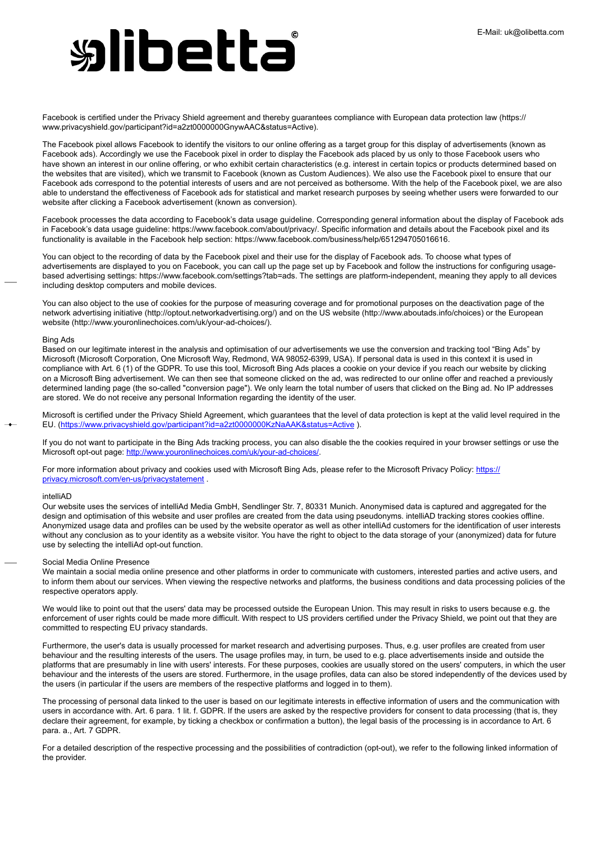Facebook is certified under the Privacy Shield agreement and thereby guarantees compliance with European data protection law (https:// www.privacyshield.gov/participant?id=a2zt0000000GnywAAC&status=Active).

The Facebook pixel allows Facebook to identify the visitors to our online offering as a target group for this display of advertisements (known as Facebook ads). Accordingly we use the Facebook pixel in order to display the Facebook ads placed by us only to those Facebook users who have shown an interest in our online offering, or who exhibit certain characteristics (e.g. interest in certain topics or products determined based on the websites that are visited), which we transmit to Facebook (known as Custom Audiences). We also use the Facebook pixel to ensure that our Facebook ads correspond to the potential interests of users and are not perceived as bothersome. With the help of the Facebook pixel, we are also able to understand the effectiveness of Facebook ads for statistical and market research purposes by seeing whether users were forwarded to our website after clicking a Facebook advertisement (known as conversion).

Facebook processes the data according to Facebook's data usage guideline. Corresponding general information about the display of Facebook ads in Facebook's data usage guideline: https://www.facebook.com/about/privacy/. Specific information and details about the Facebook pixel and its functionality is available in the Facebook help section: https://www.facebook.com/business/help/651294705016616.

You can object to the recording of data by the Facebook pixel and their use for the display of Facebook ads. To choose what types of advertisements are displayed to you on Facebook, you can call up the page set up by Facebook and follow the instructions for configuring usagebased advertising settings: https://www.facebook.com/settings?tab=ads. The settings are platform-independent, meaning they apply to all devices including desktop computers and mobile devices.

You can also object to the use of cookies for the purpose of measuring coverage and for promotional purposes on the deactivation page of the network advertising initiative (http://optout.networkadvertising.org/) and on the US website (http://www.aboutads.info/choices) or the European website (http://www.youronlinechoices.com/uk/your-ad-choices/).

#### Bing Ads

Based on our legitimate interest in the analysis and optimisation of our advertisements we use the conversion and tracking tool "Bing Ads" by Microsoft (Microsoft Corporation, One Microsoft Way, Redmond, WA 98052-6399, USA). If personal data is used in this context it is used in compliance with Art. 6 (1) of the GDPR. To use this tool, Microsoft Bing Ads places a cookie on your device if you reach our website by clicking on a Microsoft Bing advertisement. We can then see that someone clicked on the ad, was redirected to our online offer and reached a previously determined landing page (the so-called "conversion page"). We only learn the total number of users that clicked on the Bing ad. No IP addresses are stored. We do not receive any personal Information regarding the identity of the user.

Microsoft is certified under the Privacy Shield Agreement, which guarantees that the level of data protection is kept at the valid level required in the EU. (<https://www.privacyshield.gov/participant?id=a2zt0000000KzNaAAK&status=Active> ).

If you do not want to participate in the Bing Ads tracking process, you can also disable the the cookies required in your browser settings or use the Microsoft opt-out page: [http://www.youronlinechoices.com/uk/your-ad-choices/.](http://www.youronlinechoices.com/uk/your-ad-choices/)

For more information about privacy and cookies used with Microsoft Bing Ads, please refer to the Microsoft Privacy Policy: [https://](https://privacy.microsoft.com/de-de/privacystatement) [privacy.microsoft.com/en-us/privacystatement](https://privacy.microsoft.com/de-de/privacystatement) .

#### intelliAD

Our website uses the services of intelliAd Media GmbH, Sendlinger Str. 7, 80331 Munich. Anonymised data is captured and aggregated for the design and optimisation of this website and user profiles are created from the data using pseudonyms. intelliAD tracking stores cookies offline. Anonymized usage data and profiles can be used by the website operator as well as other intelliAd customers for the identification of user interests without any conclusion as to your identity as a website visitor. You have the right to object to the data storage of your (anonymized) data for future use by selecting the intelliAd opt-out function.

#### Social Media Online Presence

We maintain a social media online presence and other platforms in order to communicate with customers, interested parties and active users, and to inform them about our services. When viewing the respective networks and platforms, the business conditions and data processing policies of the respective operators apply.

We would like to point out that the users' data may be processed outside the European Union. This may result in risks to users because e.g. the enforcement of user rights could be made more difficult. With respect to US providers certified under the Privacy Shield, we point out that they are committed to respecting EU privacy standards.

Furthermore, the user's data is usually processed for market research and advertising purposes. Thus, e.g. user profiles are created from user behaviour and the resulting interests of the users. The usage profiles may, in turn, be used to e.g. place advertisements inside and outside the platforms that are presumably in line with users' interests. For these purposes, cookies are usually stored on the users' computers, in which the user behaviour and the interests of the users are stored. Furthermore, in the usage profiles, data can also be stored independently of the devices used by the users (in particular if the users are members of the respective platforms and logged in to them).

The processing of personal data linked to the user is based on our legitimate interests in effective information of users and the communication with users in accordance with. Art. 6 para. 1 lit. f. GDPR. If the users are asked by the respective providers for consent to data processing (that is, they declare their agreement, for example, by ticking a checkbox or confirmation a button), the legal basis of the processing is in accordance to Art. 6 para. a., Art. 7 GDPR.

For a detailed description of the respective processing and the possibilities of contradiction (opt-out), we refer to the following linked information of the provider.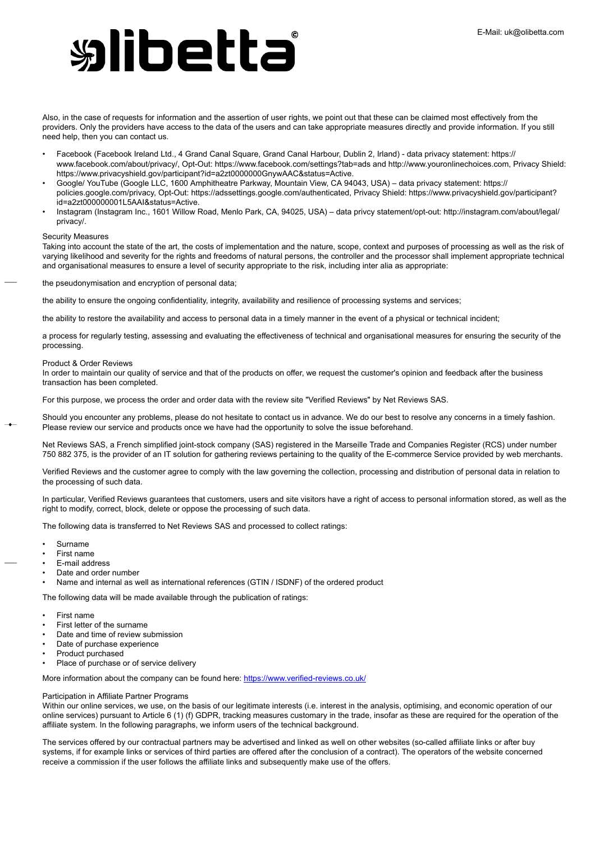### libetta  $\mathbb{S}$

Also, in the case of requests for information and the assertion of user rights, we point out that these can be claimed most effectively from the providers. Only the providers have access to the data of the users and can take appropriate measures directly and provide information. If you still need help, then you can contact us.

- Facebook (Facebook Ireland Ltd., 4 Grand Canal Square, Grand Canal Harbour, Dublin 2, Irland) data privacy statement: https:// www.facebook.com/about/privacy/, Opt-Out: https://www.facebook.com/settings?tab=ads and http://www.youronlinechoices.com, Privacy Shield: https://www.privacyshield.gov/participant?id=a2zt0000000GnywAAC&status=Active.
- Google/ YouTube (Google LLC, 1600 Amphitheatre Parkway, Mountain View, CA 94043, USA) data privacy statement: https:// policies.google.com/privacy, Opt-Out: https://adssettings.google.com/authenticated, Privacy Shield: https://www.privacyshield.gov/participant? id=a2zt000000001L5AAI&status=Active.
- Instagram (Instagram Inc., 1601 Willow Road, Menlo Park, CA, 94025, USA) data privcy statement/opt-out: http://instagram.com/about/legal/ privacy/.

#### Security Measures

Taking into account the state of the art, the costs of implementation and the nature, scope, context and purposes of processing as well as the risk of varying likelihood and severity for the rights and freedoms of natural persons, the controller and the processor shall implement appropriate technical and organisational measures to ensure a level of security appropriate to the risk, including inter alia as appropriate:

the pseudonymisation and encryption of personal data;

the ability to ensure the ongoing confidentiality, integrity, availability and resilience of processing systems and services;

the ability to restore the availability and access to personal data in a timely manner in the event of a physical or technical incident;

a process for regularly testing, assessing and evaluating the effectiveness of technical and organisational measures for ensuring the security of the processing.

#### Product & Order Reviews

In order to maintain our quality of service and that of the products on offer, we request the customer's opinion and feedback after the business transaction has been completed.

For this purpose, we process the order and order data with the review site "Verified Reviews" by Net Reviews SAS.

Should you encounter any problems, please do not hesitate to contact us in advance. We do our best to resolve any concerns in a timely fashion. Please review our service and products once we have had the opportunity to solve the issue beforehand.

Net Reviews SAS, a French simplified joint-stock company (SAS) registered in the Marseille Trade and Companies Register (RCS) under number 750 882 375, is the provider of an IT solution for gathering reviews pertaining to the quality of the E-commerce Service provided by web merchants.

Verified Reviews and the customer agree to comply with the law governing the collection, processing and distribution of personal data in relation to the processing of such data.

In particular, Verified Reviews guarantees that customers, users and site visitors have a right of access to personal information stored, as well as the right to modify, correct, block, delete or oppose the processing of such data.

The following data is transferred to Net Reviews SAS and processed to collect ratings:

- Surname
- First name
- E-mail address
- Date and order number
- Name and internal as well as international references (GTIN / ISDNF) of the ordered product

The following data will be made available through the publication of ratings:

- First name
- First letter of the surname
- Date and time of review submission
- Date of purchase experience
- Product purchased
- Place of purchase or of service delivery

More information about the company can be found here: <https://www.verified-reviews.co.uk/>

#### Participation in Affiliate Partner Programs

Within our online services, we use, on the basis of our legitimate interests (i.e. interest in the analysis, optimising, and economic operation of our online services) pursuant to Article 6 (1) (f) GDPR, tracking measures customary in the trade, insofar as these are required for the operation of the affiliate system. In the following paragraphs, we inform users of the technical background.

The services offered by our contractual partners may be advertised and linked as well on other websites (so-called affiliate links or after buy systems, if for example links or services of third parties are offered after the conclusion of a contract). The operators of the website concerned receive a commission if the user follows the affiliate links and subsequently make use of the offers.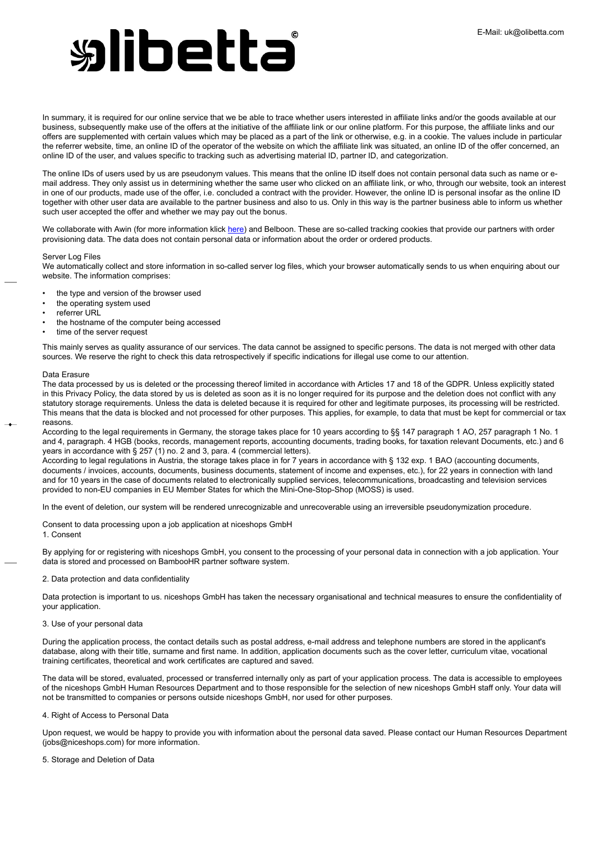### libetta  $\mathbb{S}$

In summary, it is required for our online service that we be able to trace whether users interested in affiliate links and/or the goods available at our business, subsequently make use of the offers at the initiative of the affiliate link or our online platform. For this purpose, the affiliate links and our offers are supplemented with certain values which may be placed as a part of the link or otherwise, e.g. in a cookie. The values include in particular the referrer website, time, an online ID of the operator of the website on which the affiliate link was situated, an online ID of the offer concerned, an online ID of the user, and values specific to tracking such as advertising material ID, partner ID, and categorization.

The online IDs of users used by us are pseudonym values. This means that the online ID itself does not contain personal data such as name or email address. They only assist us in determining whether the same user who clicked on an affiliate link, or who, through our website, took an interest in one of our products, made use of the offer, i.e. concluded a contract with the provider. However, the online ID is personal insofar as the online ID together with other user data are available to the partner business and also to us. Only in this way is the partner business able to inform us whether such user accepted the offer and whether we may pay out the bonus.

We collaborate with Awin (for more information klick [here\)](#page-0-0) and Belboon. These are so-called tracking cookies that provide our partners with order provisioning data. The data does not contain personal data or information about the order or ordered products.

#### Server Log Files

We automatically collect and store information in so-called server log files, which your browser automatically sends to us when enquiring about our website. The information comprises:

- the type and version of the browser used
- the operating system used
- referrer URL
- the hostname of the computer being accessed
- time of the server request

This mainly serves as quality assurance of our services. The data cannot be assigned to specific persons. The data is not merged with other data sources. We reserve the right to check this data retrospectively if specific indications for illegal use come to our attention.

#### Data Erasure

The data processed by us is deleted or the processing thereof limited in accordance with Articles 17 and 18 of the GDPR. Unless explicitly stated in this Privacy Policy, the data stored by us is deleted as soon as it is no longer required for its purpose and the deletion does not conflict with any statutory storage requirements. Unless the data is deleted because it is required for other and legitimate purposes, its processing will be restricted. This means that the data is blocked and not processed for other purposes. This applies, for example, to data that must be kept for commercial or tax reasons.

According to the legal requirements in Germany, the storage takes place for 10 years according to §§ 147 paragraph 1 AO, 257 paragraph 1 No. 1 and 4, paragraph. 4 HGB (books, records, management reports, accounting documents, trading books, for taxation relevant Documents, etc.) and 6 years in accordance with § 257 (1) no. 2 and 3, para. 4 (commercial letters).

According to legal regulations in Austria, the storage takes place in for 7 years in accordance with § 132 exp. 1 BAO (accounting documents, documents / invoices, accounts, documents, business documents, statement of income and expenses, etc.), for 22 years in connection with land and for 10 years in the case of documents related to electronically supplied services, telecommunications, broadcasting and television services provided to non-EU companies in EU Member States for which the Mini-One-Stop-Shop (MOSS) is used.

In the event of deletion, our system will be rendered unrecognizable and unrecoverable using an irreversible pseudonymization procedure.

Consent to data processing upon a job application at niceshops GmbH

1. Consent

By applying for or registering with niceshops GmbH, you consent to the processing of your personal data in connection with a job application. Your data is stored and processed on BambooHR partner software system.

#### 2. Data protection and data confidentiality

Data protection is important to us. niceshops GmbH has taken the necessary organisational and technical measures to ensure the confidentiality of your application.

#### 3. Use of your personal data

During the application process, the contact details such as postal address, e-mail address and telephone numbers are stored in the applicant's database, along with their title, surname and first name. In addition, application documents such as the cover letter, curriculum vitae, vocational training certificates, theoretical and work certificates are captured and saved.

The data will be stored, evaluated, processed or transferred internally only as part of your application process. The data is accessible to employees of the niceshops GmbH Human Resources Department and to those responsible for the selection of new niceshops GmbH staff only. Your data will not be transmitted to companies or persons outside niceshops GmbH, nor used for other purposes.

#### 4. Right of Access to Personal Data

Upon request, we would be happy to provide you with information about the personal data saved. Please contact our Human Resources Department (jobs@niceshops.com) for more information.

#### 5. Storage and Deletion of Data